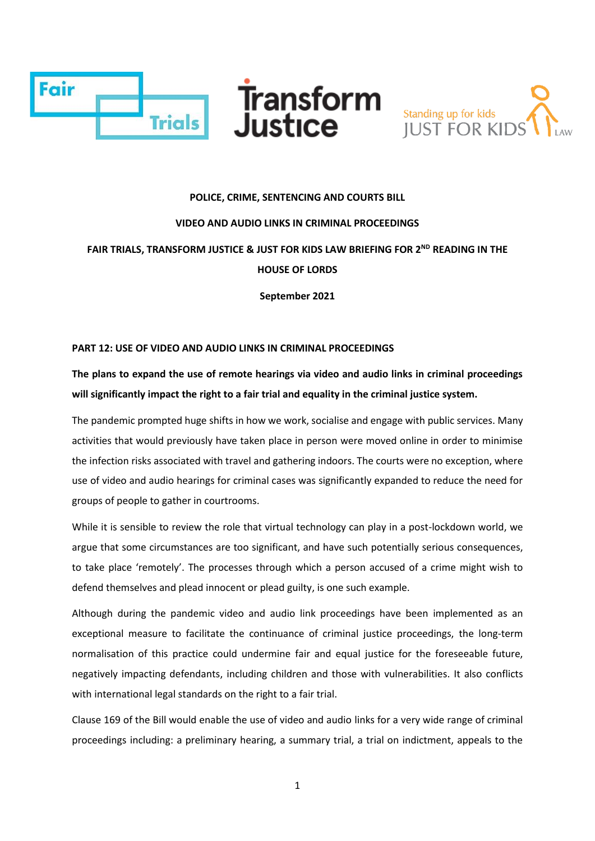



#### **POLICE, CRIME, SENTENCING AND COURTS BILL**

### **VIDEO AND AUDIO LINKS IN CRIMINAL PROCEEDINGS**

**FAIR TRIALS, TRANSFORM JUSTICE & JUST FOR KIDS LAW BRIEFING FOR 2ND READING IN THE HOUSE OF LORDS**

**September 2021**

### **PART 12: USE OF VIDEO AND AUDIO LINKS IN CRIMINAL PROCEEDINGS**

# **The plans to expand the use of remote hearings via video and audio links in criminal proceedings will significantly impact the right to a fair trial and equality in the criminal justice system.**

The pandemic prompted huge shifts in how we work, socialise and engage with public services. Many activities that would previously have taken place in person were moved online in order to minimise the infection risks associated with travel and gathering indoors. The courts were no exception, where use of video and audio hearings for criminal cases was significantly expanded to reduce the need for groups of people to gather in courtrooms.

While it is sensible to review the role that virtual technology can play in a post-lockdown world, we argue that some circumstances are too significant, and have such potentially serious consequences, to take place 'remotely'. The processes through which a person accused of a crime might wish to defend themselves and plead innocent or plead guilty, is one such example.

Although during the pandemic video and audio link proceedings have been implemented as an exceptional measure to facilitate the continuance of criminal justice proceedings, the long-term normalisation of this practice could undermine fair and equal justice for the foreseeable future, negatively impacting defendants, including children and those with vulnerabilities. It also conflicts with international legal standards on the right to a fair trial.

Clause 169 of the Bill would enable the use of video and audio links for a very wide range of criminal proceedings including: a preliminary hearing, a summary trial, a trial on indictment, appeals to the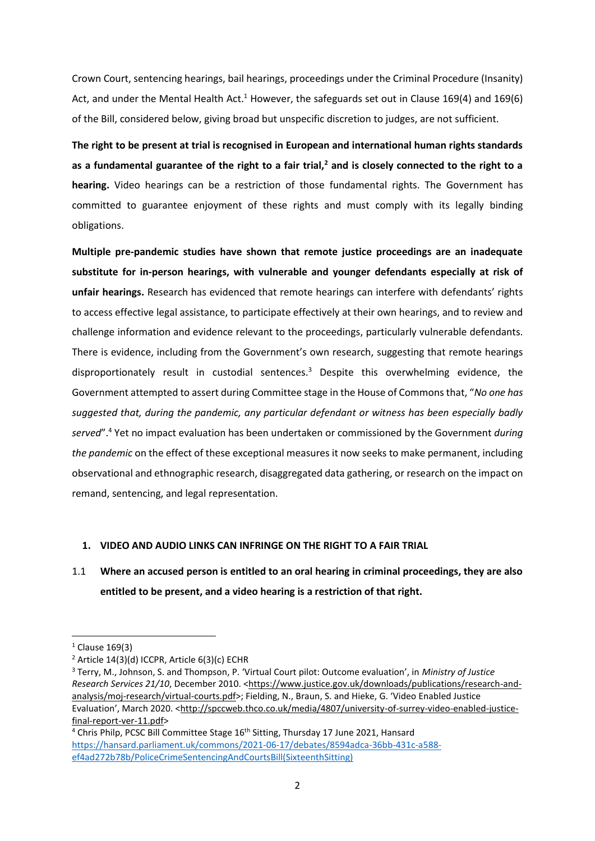Crown Court, sentencing hearings, bail hearings, proceedings under the Criminal Procedure (Insanity) Act, and under the Mental Health Act.<sup>1</sup> However, the safeguards set out in Clause 169(4) and 169(6) of the Bill, considered below, giving broad but unspecific discretion to judges, are not sufficient.

**The right to be present at trial is recognised in European and international human rights standards as a fundamental guarantee of the right to a fair trial,<sup>2</sup> and is closely connected to the right to a hearing.** Video hearings can be a restriction of those fundamental rights. The Government has committed to guarantee enjoyment of these rights and must comply with its legally binding obligations.

**Multiple pre-pandemic studies have shown that remote justice proceedings are an inadequate substitute for in-person hearings, with vulnerable and younger defendants especially at risk of unfair hearings.** Research has evidenced that remote hearings can interfere with defendants' rights to access effective legal assistance, to participate effectively at their own hearings, and to review and challenge information and evidence relevant to the proceedings, particularly vulnerable defendants. There is evidence, including from the Government's own research, suggesting that remote hearings disproportionately result in custodial sentences. $3$  Despite this overwhelming evidence, the Government attempted to assert during Committee stage in the House of Commons that, "*No one has suggested that, during the pandemic, any particular defendant or witness has been especially badly served*". <sup>4</sup> Yet no impact evaluation has been undertaken or commissioned by the Government *during the pandemic* on the effect of these exceptional measures it now seeks to make permanent, including observational and ethnographic research, disaggregated data gathering, or research on the impact on remand, sentencing, and legal representation.

### **1. VIDEO AND AUDIO LINKS CAN INFRINGE ON THE RIGHT TO A FAIR TRIAL**

# 1.1 **Where an accused person is entitled to an oral hearing in criminal proceedings, they are also entitled to be present, and a video hearing is a restriction of that right.**

 $1$  Clause 169(3)

 $2$  Article 14(3)(d) ICCPR, Article 6(3)(c) ECHR

<sup>3</sup> Terry, M., Johnson, S. and Thompson, P. 'Virtual Court pilot: Outcome evaluation', in *Ministry of Justice Research Services 21/10*, December 2010. [<https://www.justice.gov.uk/downloads/publications/research-and](https://www.justice.gov.uk/downloads/publications/research-and-analysis/moj-research/virtual-courts.pdf)[analysis/moj-research/virtual-courts.pdf>](https://www.justice.gov.uk/downloads/publications/research-and-analysis/moj-research/virtual-courts.pdf); Fielding, N., Braun, S. and Hieke, G. 'Video Enabled Justice Evaluation', March 2020. <[http://spccweb.thco.co.uk/media/4807/university-of-surrey-video-enabled-justice](http://spccweb.thco.co.uk/media/4807/university-of-surrey-video-enabled-justice-final-report-ver-11.pdf)[final-report-ver-11.pdf>](http://spccweb.thco.co.uk/media/4807/university-of-surrey-video-enabled-justice-final-report-ver-11.pdf)

<sup>&</sup>lt;sup>4</sup> Chris Philp, PCSC Bill Committee Stage 16<sup>th</sup> Sitting, Thursday 17 June 2021, Hansard [https://hansard.parliament.uk/commons/2021-06-17/debates/8594adca-36bb-431c-a588](https://hansard.parliament.uk/commons/2021-06-17/debates/8594adca-36bb-431c-a588-ef4ad272b78b/PoliceCrimeSentencingAndCourtsBill(SixteenthSitting)) [ef4ad272b78b/PoliceCrimeSentencingAndCourtsBill\(SixteenthSitting\)](https://hansard.parliament.uk/commons/2021-06-17/debates/8594adca-36bb-431c-a588-ef4ad272b78b/PoliceCrimeSentencingAndCourtsBill(SixteenthSitting))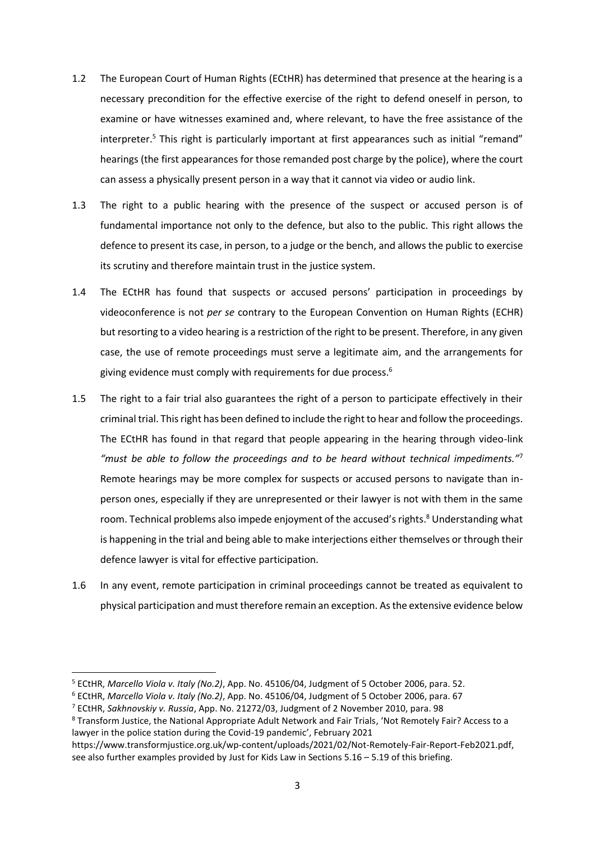- 1.2 The European Court of Human Rights (ECtHR) has determined that presence at the hearing is a necessary precondition for the effective exercise of the right to defend oneself in person, to examine or have witnesses examined and, where relevant, to have the free assistance of the interpreter.<sup>5</sup> This right is particularly important at first appearances such as initial "remand" hearings (the first appearances for those remanded post charge by the police), where the court can assess a physically present person in a way that it cannot via video or audio link.
- 1.3 The right to a public hearing with the presence of the suspect or accused person is of fundamental importance not only to the defence, but also to the public. This right allows the defence to present its case, in person, to a judge or the bench, and allows the public to exercise its scrutiny and therefore maintain trust in the justice system.
- 1.4 The ECtHR has found that suspects or accused persons' participation in proceedings by videoconference is not *per se* contrary to the European Convention on Human Rights (ECHR) but resorting to a video hearing is a restriction of the right to be present. Therefore, in any given case, the use of remote proceedings must serve a legitimate aim, and the arrangements for giving evidence must comply with requirements for due process.<sup>6</sup>
- 1.5 The right to a fair trial also guarantees the right of a person to participate effectively in their criminal trial. This right has been defined to include the right to hear and follow the proceedings. The ECtHR has found in that regard that people appearing in the hearing through video-link *"must be able to follow the proceedings and to be heard without technical impediments."*<sup>7</sup> Remote hearings may be more complex for suspects or accused persons to navigate than inperson ones, especially if they are unrepresented or their lawyer is not with them in the same room. Technical problems also impede enjoyment of the accused's rights.<sup>8</sup> Understanding what is happening in the trial and being able to make interjections either themselves or through their defence lawyer is vital for effective participation.
- 1.6 In any event, remote participation in criminal proceedings cannot be treated as equivalent to physical participation and must therefore remain an exception. As the extensive evidence below

<sup>5</sup> ECtHR, *Marcello Viola v. Italy (No.2)*, App. No. 45106/04, Judgment of 5 October 2006, para. 52.

<sup>6</sup> ECtHR, *Marcello Viola v. Italy (No.2)*, App. No. 45106/04, Judgment of 5 October 2006, para. 67

<sup>7</sup> ECtHR, *Sakhnovskiy v. Russia*, App. No. 21272/03, Judgment of 2 November 2010, para. 98

<sup>8</sup> Transform Justice, the National Appropriate Adult Network and Fair Trials, 'Not Remotely Fair? Access to a lawyer in the police station during the Covid-19 pandemic', February 2021

https://www.transformjustice.org.uk/wp-content/uploads/2021/02/Not-Remotely-Fair-Report-Feb2021.pdf, see also further examples provided by Just for Kids Law in Sections 5.16 – 5.19 of this briefing.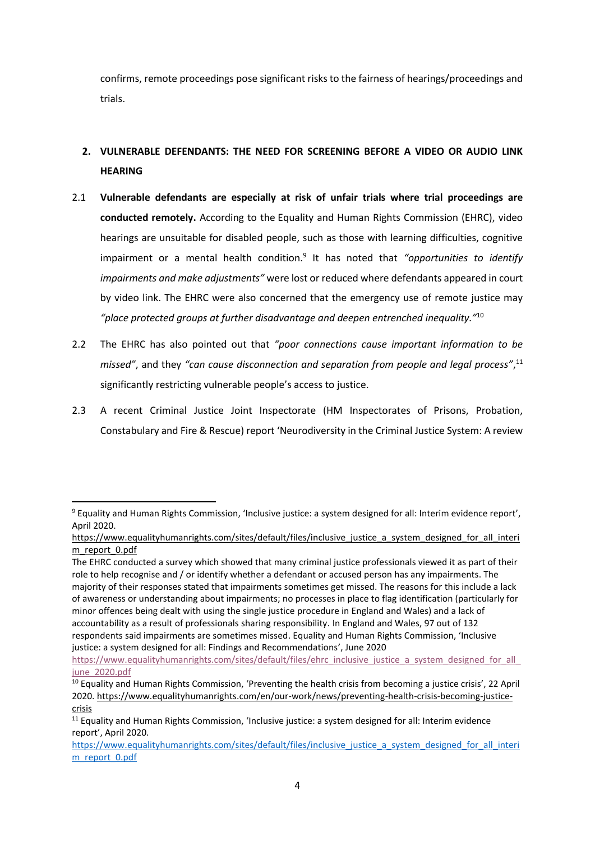confirms, remote proceedings pose significant risks to the fairness of hearings/proceedings and trials.

# **2. VULNERABLE DEFENDANTS: THE NEED FOR SCREENING BEFORE A VIDEO OR AUDIO LINK HEARING**

- 2.1 **Vulnerable defendants are especially at risk of unfair trials where trial proceedings are conducted remotely.** According to the Equality and Human Rights Commission (EHRC), video hearings are unsuitable for disabled people, such as those with learning difficulties, cognitive impairment or a mental health condition.<sup>9</sup> It has noted that "opportunities to identify *impairments and make adjustments"* were lost or reduced where defendants appeared in court by video link. The EHRC were also concerned that the emergency use of remote justice may *"place protected groups at further disadvantage and deepen entrenched inequality."*<sup>10</sup>
- 2.2 The EHRC has also pointed out that *"poor connections cause important information to be missed"*, and they *"can cause disconnection and separation from people and legal process"*, 11 significantly restricting vulnerable people's access to justice.
- 2.3 A recent Criminal Justice Joint Inspectorate (HM Inspectorates of Prisons, Probation, Constabulary and Fire & Rescue) report 'Neurodiversity in the Criminal Justice System: A review

<sup>&</sup>lt;sup>9</sup> Equality and Human Rights Commission, 'Inclusive justice: a system designed for all: Interim evidence report', April 2020.

[https://www.equalityhumanrights.com/sites/default/files/inclusive\\_justice\\_a\\_system\\_designed\\_for\\_all\\_interi](https://www.equalityhumanrights.com/sites/default/files/inclusive_justice_a_system_designed_for_all_interim_report_0.pdf) [m\\_report\\_0.pdf](https://www.equalityhumanrights.com/sites/default/files/inclusive_justice_a_system_designed_for_all_interim_report_0.pdf)

The EHRC conducted a survey which showed that many criminal justice professionals viewed it as part of their role to help recognise and / or identify whether a defendant or accused person has any impairments. The majority of their responses stated that impairments sometimes get missed. The reasons for this include a lack of awareness or understanding about impairments; no processes in place to flag identification (particularly for minor offences being dealt with using the single justice procedure in England and Wales) and a lack of accountability as a result of professionals sharing responsibility. In England and Wales, 97 out of 132 respondents said impairments are sometimes missed. Equality and Human Rights Commission, 'Inclusive justice: a system designed for all: Findings and Recommendations', June 2020

[https://www.equalityhumanrights.com/sites/default/files/ehrc\\_inclusive\\_justice\\_a\\_system\\_designed\\_for\\_all\\_](https://www.equalityhumanrights.com/sites/default/files/ehrc_inclusive_justice_a_system_designed_for_all_june_2020.pdf) [june\\_2020.pdf](https://www.equalityhumanrights.com/sites/default/files/ehrc_inclusive_justice_a_system_designed_for_all_june_2020.pdf)

<sup>10</sup> Equality and Human Rights Commission, 'Preventing the health crisis from becoming a justice crisis', 22 April 2020. [https://www.equalityhumanrights.com/en/our-work/news/preventing-health-crisis-becoming-justice](https://www.equalityhumanrights.com/en/our-work/news/preventing-health-crisis-becoming-justice-crisis)[crisis](https://www.equalityhumanrights.com/en/our-work/news/preventing-health-crisis-becoming-justice-crisis)

<sup>&</sup>lt;sup>11</sup> Equality and Human Rights Commission, 'Inclusive justice: a system designed for all: Interim evidence report', April 2020.

[https://www.equalityhumanrights.com/sites/default/files/inclusive\\_justice\\_a\\_system\\_designed\\_for\\_all\\_interi](https://www.equalityhumanrights.com/sites/default/files/inclusive_justice_a_system_designed_for_all_interim_report_0.pdf) [m\\_report\\_0.pdf](https://www.equalityhumanrights.com/sites/default/files/inclusive_justice_a_system_designed_for_all_interim_report_0.pdf)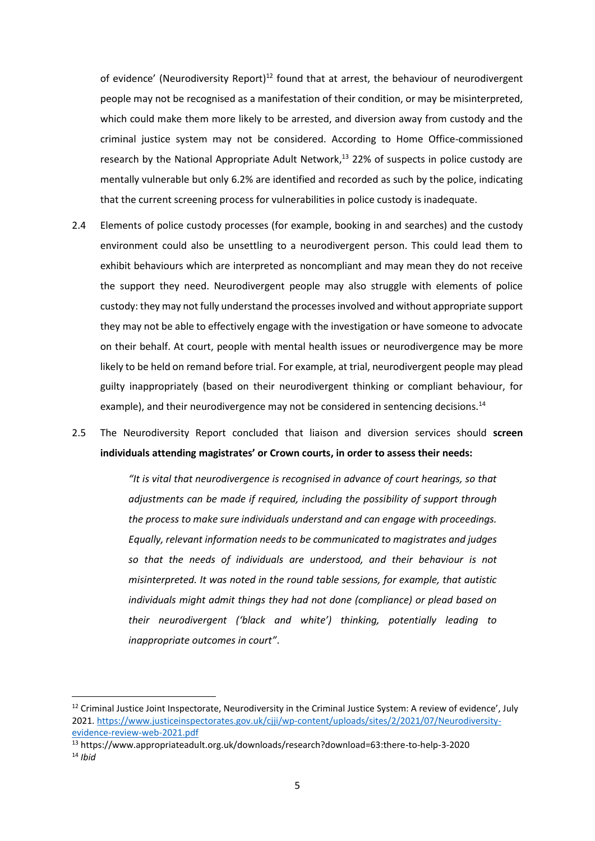of evidence' (Neurodiversity Report)<sup>12</sup> found that at arrest, the behaviour of neurodivergent people may not be recognised as a manifestation of their condition, or may be misinterpreted, which could make them more likely to be arrested, and diversion away from custody and the criminal justice system may not be considered. According to Home Office-commissioned research by the National Appropriate Adult Network,<sup>13</sup> 22% of suspects in police custody are mentally vulnerable but only 6.2% are identified and recorded as such by the police, indicating that the current screening process for vulnerabilities in police custody is inadequate.

- 2.4 Elements of police custody processes (for example, booking in and searches) and the custody environment could also be unsettling to a neurodivergent person. This could lead them to exhibit behaviours which are interpreted as noncompliant and may mean they do not receive the support they need. Neurodivergent people may also struggle with elements of police custody: they may not fully understand the processes involved and without appropriate support they may not be able to effectively engage with the investigation or have someone to advocate on their behalf. At court, people with mental health issues or neurodivergence may be more likely to be held on remand before trial. For example, at trial, neurodivergent people may plead guilty inappropriately (based on their neurodivergent thinking or compliant behaviour, for example), and their neurodivergence may not be considered in sentencing decisions.<sup>14</sup>
- 2.5 The Neurodiversity Report concluded that liaison and diversion services should **screen individuals attending magistrates' or Crown courts, in order to assess their needs:**

*"It is vital that neurodivergence is recognised in advance of court hearings, so that adjustments can be made if required, including the possibility of support through the process to make sure individuals understand and can engage with proceedings. Equally, relevant information needs to be communicated to magistrates and judges so that the needs of individuals are understood, and their behaviour is not misinterpreted. It was noted in the round table sessions, for example, that autistic individuals might admit things they had not done (compliance) or plead based on their neurodivergent ('black and white') thinking, potentially leading to inappropriate outcomes in court"*.

<sup>&</sup>lt;sup>12</sup> Criminal Justice Joint Inspectorate, Neurodiversity in the Criminal Justice System: A review of evidence', July 2021. [https://www.justiceinspectorates.gov.uk/cjji/wp-content/uploads/sites/2/2021/07/Neurodiversity](https://www.justiceinspectorates.gov.uk/cjji/wp-content/uploads/sites/2/2021/07/Neurodiversity-evidence-review-web-2021.pdf)[evidence-review-web-2021.pdf](https://www.justiceinspectorates.gov.uk/cjji/wp-content/uploads/sites/2/2021/07/Neurodiversity-evidence-review-web-2021.pdf) 

<sup>13</sup> https://www.appropriateadult.org.uk/downloads/research?download=63:there-to-help-3-2020 <sup>14</sup> *Ibid*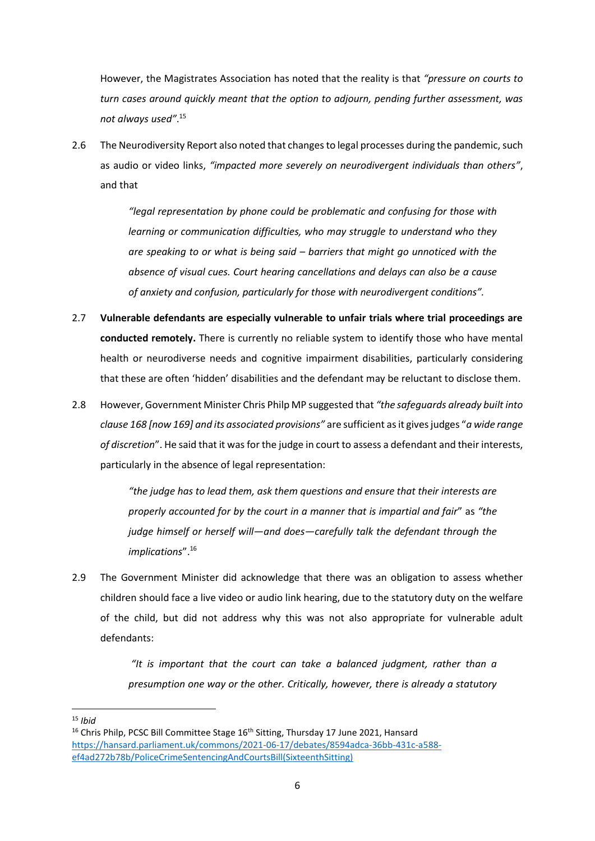However, the Magistrates Association has noted that the reality is that *"pressure on courts to turn cases around quickly meant that the option to adjourn, pending further assessment, was not always used"*. 15

2.6 The Neurodiversity Report also noted that changes to legal processes during the pandemic, such as audio or video links, *"impacted more severely on neurodivergent individuals than others"*, and that

> *"legal representation by phone could be problematic and confusing for those with learning or communication difficulties, who may struggle to understand who they are speaking to or what is being said – barriers that might go unnoticed with the absence of visual cues. Court hearing cancellations and delays can also be a cause of anxiety and confusion, particularly for those with neurodivergent conditions".*

- 2.7 **Vulnerable defendants are especially vulnerable to unfair trials where trial proceedings are conducted remotely.** There is currently no reliable system to identify those who have mental health or neurodiverse needs and cognitive impairment disabilities, particularly considering that these are often 'hidden' disabilities and the defendant may be reluctant to disclose them.
- 2.8 However, Government Minister Chris Philp MP suggested that *"the safeguards already built into clause 168 [now 169] and its associated provisions"* are sufficient as it gives judges "*a wide range of discretion*". He said that it was for the judge in court to assess a defendant and their interests, particularly in the absence of legal representation:

*"the judge has to lead them, ask them questions and ensure that their interests are properly accounted for by the court in a manner that is impartial and fair*" as *"the judge himself or herself will—and does—carefully talk the defendant through the implications*".<sup>16</sup>

2.9 The Government Minister did acknowledge that there was an obligation to assess whether children should face a live video or audio link hearing, due to the statutory duty on the welfare of the child, but did not address why this was not also appropriate for vulnerable adult defendants:

> *"It is important that the court can take a balanced judgment, rather than a presumption one way or the other. Critically, however, there is already a statutory*

<sup>15</sup> *Ibid*

<sup>&</sup>lt;sup>16</sup> Chris Philp, PCSC Bill Committee Stage 16<sup>th</sup> Sitting, Thursday 17 June 2021, Hansard [https://hansard.parliament.uk/commons/2021-06-17/debates/8594adca-36bb-431c-a588](https://hansard.parliament.uk/commons/2021-06-17/debates/8594adca-36bb-431c-a588-ef4ad272b78b/PoliceCrimeSentencingAndCourtsBill(SixteenthSitting)) [ef4ad272b78b/PoliceCrimeSentencingAndCourtsBill\(SixteenthSitting\)](https://hansard.parliament.uk/commons/2021-06-17/debates/8594adca-36bb-431c-a588-ef4ad272b78b/PoliceCrimeSentencingAndCourtsBill(SixteenthSitting))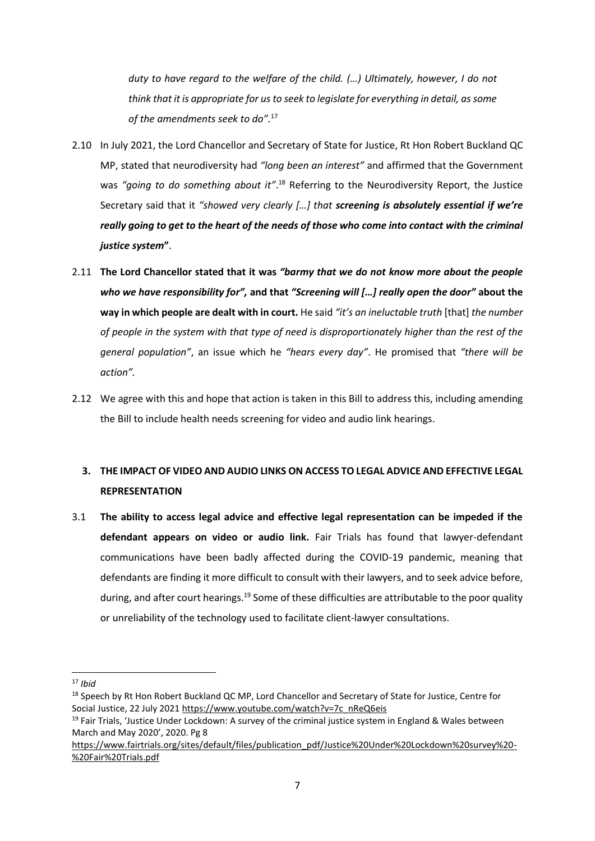*duty to have regard to the welfare of the child. (…) Ultimately, however, I do not think that it is appropriate for us to seek to legislate for everything in detail, as some of the amendments seek to do".*<sup>17</sup>

- 2.10 In July 2021, the Lord Chancellor and Secretary of State for Justice, Rt Hon Robert Buckland QC MP, stated that neurodiversity had *"long been an interest"* and affirmed that the Government was "going to do something about it".<sup>18</sup> Referring to the Neurodiversity Report, the Justice Secretary said that it *"showed very clearly […] that screening is absolutely essential if we're really going to get to the heart of the needs of those who come into contact with the criminal justice system***"**.
- 2.11 **The Lord Chancellor stated that it was** *"barmy that we do not know more about the people who we have responsibility for",* **and that** *"Screening will […] really open the door"* **about the way in which people are dealt with in court.** He said *"it's an ineluctable truth* [that] *the number of people in the system with that type of need is disproportionately higher than the rest of the general population"*, an issue which he *"hears every day"*. He promised that *"there will be action".*
- 2.12 We agree with this and hope that action is taken in this Bill to address this, including amending the Bill to include health needs screening for video and audio link hearings.

# **3. THE IMPACT OF VIDEO AND AUDIO LINKS ON ACCESS TO LEGAL ADVICE AND EFFECTIVE LEGAL REPRESENTATION**

3.1 **The ability to access legal advice and effective legal representation can be impeded if the defendant appears on video or audio link.** Fair Trials has found that lawyer-defendant communications have been badly affected during the COVID-19 pandemic, meaning that defendants are finding it more difficult to consult with their lawyers, and to seek advice before, during, and after court hearings.<sup>19</sup> Some of these difficulties are attributable to the poor quality or unreliability of the technology used to facilitate client-lawyer consultations.

<sup>17</sup> *Ibid*

<sup>&</sup>lt;sup>18</sup> Speech by Rt Hon Robert Buckland QC MP, Lord Chancellor and Secretary of State for Justice, Centre for Social Justice, 22 July 2021 [https://www.youtube.com/watch?v=7c\\_nReQ6eis](https://www.youtube.com/watch?v=7c_nReQ6eis)

 $19$  Fair Trials, 'Justice Under Lockdown: A survey of the criminal justice system in England & Wales between March and May 2020', 2020. Pg 8

[https://www.fairtrials.org/sites/default/files/publication\\_pdf/Justice%20Under%20Lockdown%20survey%20-](https://www.fairtrials.org/sites/default/files/publication_pdf/Justice%20Under%20Lockdown%20survey%20-%20Fair%20Trials.pdf) [%20Fair%20Trials.pdf](https://www.fairtrials.org/sites/default/files/publication_pdf/Justice%20Under%20Lockdown%20survey%20-%20Fair%20Trials.pdf)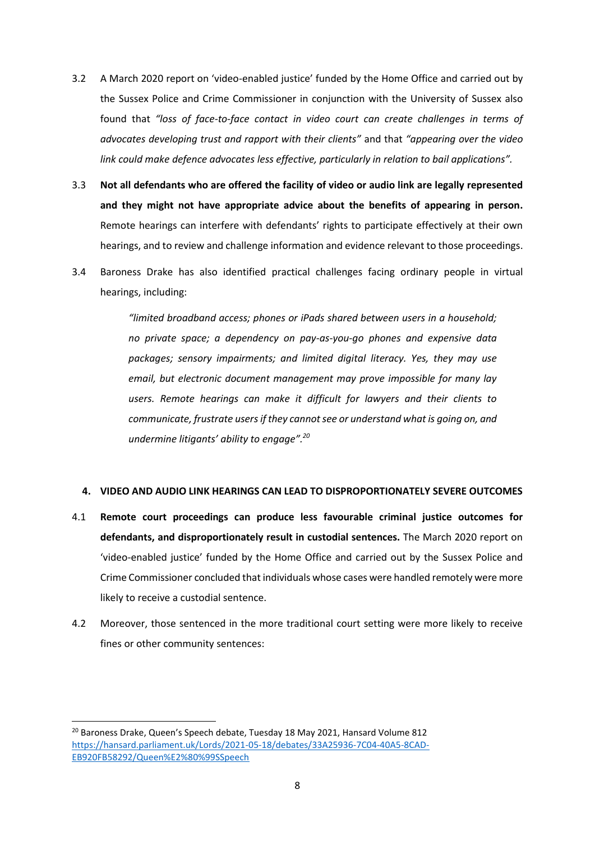- 3.2 A March 2020 report on 'video-enabled justice' funded by the Home Office and carried out by the Sussex Police and Crime Commissioner in conjunction with the University of Sussex also found that *"loss of face-to-face contact in video court can create challenges in terms of advocates developing trust and rapport with their clients"* and that *"appearing over the video link could make defence advocates less effective, particularly in relation to bail applications".*
- 3.3 **Not all defendants who are offered the facility of video or audio link are legally represented and they might not have appropriate advice about the benefits of appearing in person.** Remote hearings can interfere with defendants' rights to participate effectively at their own hearings, and to review and challenge information and evidence relevant to those proceedings.
- 3.4 Baroness Drake has also identified practical challenges facing ordinary people in virtual hearings, including:

*"limited broadband access; phones or iPads shared between users in a household; no private space; a dependency on pay-as-you-go phones and expensive data packages; sensory impairments; and limited digital literacy. Yes, they may use email, but electronic document management may prove impossible for many lay users. Remote hearings can make it difficult for lawyers and their clients to communicate, frustrate users if they cannot see or understand what is going on, and undermine litigants' ability to engage". 20*

### **4. VIDEO AND AUDIO LINK HEARINGS CAN LEAD TO DISPROPORTIONATELY SEVERE OUTCOMES**

- 4.1 **Remote court proceedings can produce less favourable criminal justice outcomes for defendants, and disproportionately result in custodial sentences.** The March 2020 report on 'video-enabled justice' funded by the Home Office and carried out by the Sussex Police and Crime Commissioner concluded that individuals whose cases were handled remotely were more likely to receive a custodial sentence.
- 4.2 Moreover, those sentenced in the more traditional court setting were more likely to receive fines or other community sentences:

<sup>&</sup>lt;sup>20</sup> Baroness Drake, Queen's Speech debate, Tuesday 18 May 2021, Hansard Volume 812 [https://hansard.parliament.uk/Lords/2021-05-18/debates/33A25936-7C04-40A5-8CAD-](https://hansard.parliament.uk/Lords/2021-05-18/debates/33A25936-7C04-40A5-8CAD-EB920FB58292/Queen%E2%80%99SSpeech)[EB920FB58292/Queen%E2%80%99SSpeech](https://hansard.parliament.uk/Lords/2021-05-18/debates/33A25936-7C04-40A5-8CAD-EB920FB58292/Queen%E2%80%99SSpeech)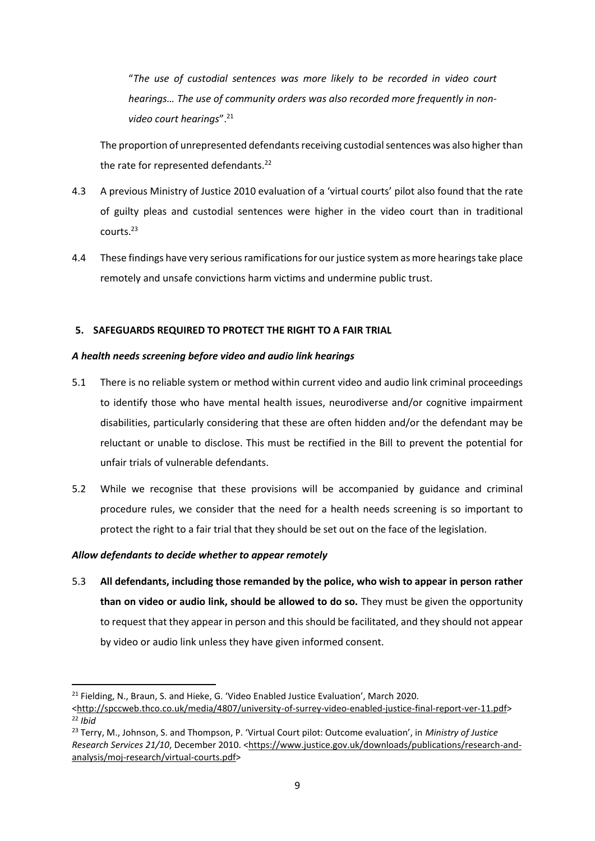"*The use of custodial sentences was more likely to be recorded in video court hearings… The use of community orders was also recorded more frequently in nonvideo court hearings*". 21

The proportion of unrepresented defendants receiving custodial sentences was also higher than the rate for represented defendants. $^{22}$ 

- 4.3 A previous Ministry of Justice 2010 evaluation of a 'virtual courts' pilot also found that the rate of guilty pleas and custodial sentences were higher in the video court than in traditional courts.<sup>23</sup>
- 4.4 These findings have very serious ramifications for our justice system as more hearings take place remotely and unsafe convictions harm victims and undermine public trust.

# **5. SAFEGUARDS REQUIRED TO PROTECT THE RIGHT TO A FAIR TRIAL**

## *A health needs screening before video and audio link hearings*

- 5.1 There is no reliable system or method within current video and audio link criminal proceedings to identify those who have mental health issues, neurodiverse and/or cognitive impairment disabilities, particularly considering that these are often hidden and/or the defendant may be reluctant or unable to disclose. This must be rectified in the Bill to prevent the potential for unfair trials of vulnerable defendants.
- 5.2 While we recognise that these provisions will be accompanied by guidance and criminal procedure rules, we consider that the need for a health needs screening is so important to protect the right to a fair trial that they should be set out on the face of the legislation.

# *Allow defendants to decide whether to appear remotely*

5.3 **All defendants, including those remanded by the police, who wish to appear in person rather than on video or audio link, should be allowed to do so.** They must be given the opportunity to request that they appear in person and this should be facilitated, and they should not appear by video or audio link unless they have given informed consent.

<sup>&</sup>lt;sup>21</sup> Fielding, N., Braun, S. and Hieke, G. 'Video Enabled Justice Evaluation', March 2020.

[<sup>&</sup>lt;http://spccweb.thco.co.uk/media/4807/university-of-surrey-video-enabled-justice-final-report-ver-11.pdf>](http://spccweb.thco.co.uk/media/4807/university-of-surrey-video-enabled-justice-final-report-ver-11.pdf) <sup>22</sup> *Ibid*

<sup>23</sup> Terry, M., Johnson, S. and Thompson, P. 'Virtual Court pilot: Outcome evaluation', in *Ministry of Justice Research Services 21/10*, December 2010. [<https://www.justice.gov.uk/downloads/publications/research-and](https://www.justice.gov.uk/downloads/publications/research-and-analysis/moj-research/virtual-courts.pdf)[analysis/moj-research/virtual-courts.pdf>](https://www.justice.gov.uk/downloads/publications/research-and-analysis/moj-research/virtual-courts.pdf)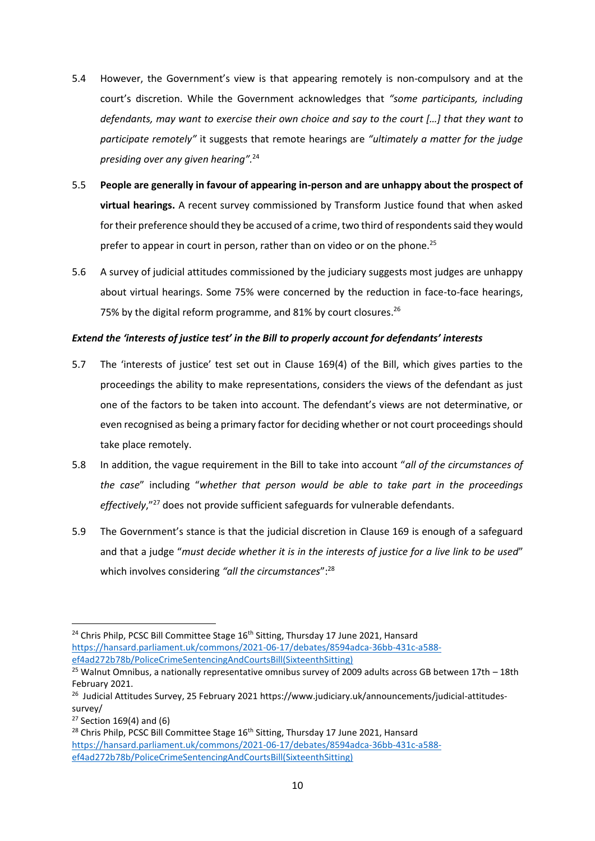- 5.4 However, the Government's view is that appearing remotely is non-compulsory and at the court's discretion. While the Government acknowledges that *"some participants, including defendants, may want to exercise their own choice and say to the court […] that they want to participate remotely"* it suggests that remote hearings are *"ultimately a matter for the judge presiding over any given hearing".*<sup>24</sup>
- 5.5 **People are generally in favour of appearing in-person and are unhappy about the prospect of virtual hearings.** A recent survey commissioned by Transform Justice found that when asked for their preference should they be accused of a crime, two third of respondents said they would prefer to appear in court in person, rather than on video or on the phone.<sup>25</sup>
- 5.6 A survey of judicial attitudes commissioned by the judiciary suggests most judges are unhappy about virtual hearings. Some 75% were concerned by the reduction in face-to-face hearings, 75% by the digital reform programme, and 81% by court closures.<sup>26</sup>

## *Extend the 'interests of justice test' in the Bill to properly account for defendants' interests*

- 5.7 The 'interests of justice' test set out in Clause 169(4) of the Bill, which gives parties to the proceedings the ability to make representations, considers the views of the defendant as just one of the factors to be taken into account. The defendant's views are not determinative, or even recognised as being a primary factor for deciding whether or not court proceedings should take place remotely.
- 5.8 In addition, the vague requirement in the Bill to take into account "*all of the circumstances of the case*" including "*whether that person would be able to take part in the proceedings effectively*,"<sup>27</sup> does not provide sufficient safeguards for vulnerable defendants.
- 5.9 The Government's stance is that the judicial discretion in Clause 169 is enough of a safeguard and that a judge "*must decide whether it is in the interests of justice for a live link to be used*" which involves considering *"all the circumstances*": 28

<sup>&</sup>lt;sup>24</sup> Chris Philp, PCSC Bill Committee Stage 16<sup>th</sup> Sitting, Thursday 17 June 2021, Hansard [https://hansard.parliament.uk/commons/2021-06-17/debates/8594adca-36bb-431c-a588](https://hansard.parliament.uk/commons/2021-06-17/debates/8594adca-36bb-431c-a588-ef4ad272b78b/PoliceCrimeSentencingAndCourtsBill(SixteenthSitting)) [ef4ad272b78b/PoliceCrimeSentencingAndCourtsBill\(SixteenthSitting\)](https://hansard.parliament.uk/commons/2021-06-17/debates/8594adca-36bb-431c-a588-ef4ad272b78b/PoliceCrimeSentencingAndCourtsBill(SixteenthSitting))

<sup>&</sup>lt;sup>25</sup> Walnut Omnibus, a nationally representative omnibus survey of 2009 adults across GB between 17th  $-$  18th February 2021.

<sup>&</sup>lt;sup>26</sup> Judicial Attitudes Survey, 25 February 2021 https://www.judiciary.uk/announcements/judicial-attitudessurvey/

 $27$  Section 169(4) and (6)

<sup>&</sup>lt;sup>28</sup> Chris Philp, PCSC Bill Committee Stage 16<sup>th</sup> Sitting, Thursday 17 June 2021, Hansard [https://hansard.parliament.uk/commons/2021-06-17/debates/8594adca-36bb-431c-a588](https://hansard.parliament.uk/commons/2021-06-17/debates/8594adca-36bb-431c-a588-ef4ad272b78b/PoliceCrimeSentencingAndCourtsBill(SixteenthSitting)) [ef4ad272b78b/PoliceCrimeSentencingAndCourtsBill\(SixteenthSitting\)](https://hansard.parliament.uk/commons/2021-06-17/debates/8594adca-36bb-431c-a588-ef4ad272b78b/PoliceCrimeSentencingAndCourtsBill(SixteenthSitting))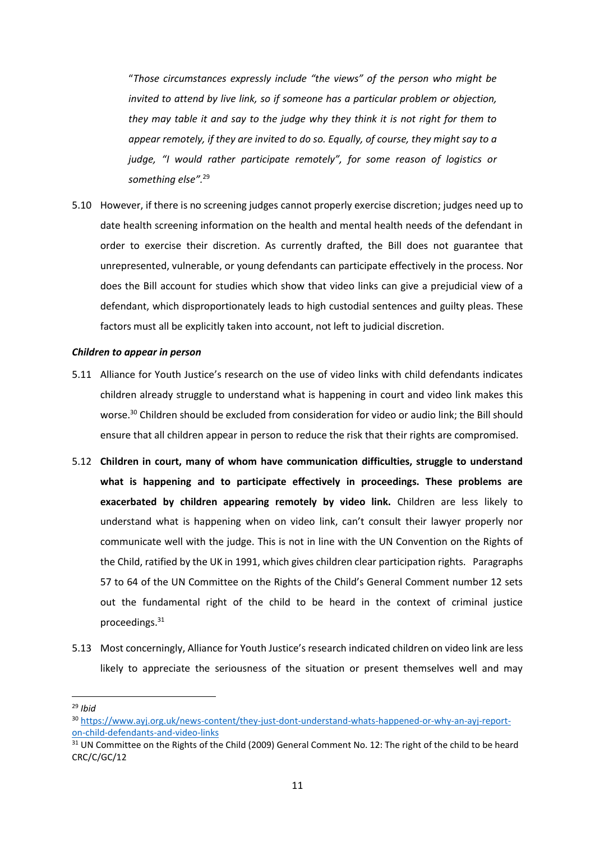"*Those circumstances expressly include "the views" of the person who might be invited to attend by live link, so if someone has a particular problem or objection, they may table it and say to the judge why they think it is not right for them to appear remotely, if they are invited to do so. Equally, of course, they might say to a judge, "I would rather participate remotely", for some reason of logistics or something else".*<sup>29</sup>

5.10 However, if there is no screening judges cannot properly exercise discretion; judges need up to date health screening information on the health and mental health needs of the defendant in order to exercise their discretion. As currently drafted, the Bill does not guarantee that unrepresented, vulnerable, or young defendants can participate effectively in the process. Nor does the Bill account for studies which show that video links can give a prejudicial view of a defendant, which disproportionately leads to high custodial sentences and guilty pleas. These factors must all be explicitly taken into account, not left to judicial discretion.

#### *Children to appear in person*

- 5.11 Alliance for Youth Justice's research on the use of video links with child defendants indicates children already struggle to understand what is happening in court and video link makes this worse.<sup>30</sup> Children should be excluded from consideration for video or audio link; the Bill should ensure that all children appear in person to reduce the risk that their rights are compromised.
- 5.12 **Children in court, many of whom have communication difficulties, struggle to understand what is happening and to participate effectively in proceedings. These problems are exacerbated by children appearing remotely by video link.** Children are less likely to understand what is happening when on video link, can't consult their lawyer properly nor communicate well with the judge. This is not in line with the UN Convention on the Rights of the Child, ratified by the UK in 1991, which gives children clear participation rights. Paragraphs 57 to 64 of the UN Committee on the Rights of the Child's General Comment number 12 sets out the fundamental right of the child to be heard in the context of criminal justice proceedings.<sup>31</sup>
- 5.13 Most concerningly, Alliance for Youth Justice's research indicated children on video link are less likely to appreciate the seriousness of the situation or present themselves well and may

<sup>29</sup> *Ibid*

<sup>30</sup> [https://www.ayj.org.uk/news-content/they-just-dont-understand-whats-happened-or-why-an-ayj-report](https://www.ayj.org.uk/news-content/they-just-dont-understand-whats-happened-or-why-an-ayj-report-on-child-defendants-and-video-links)[on-child-defendants-and-video-links](https://www.ayj.org.uk/news-content/they-just-dont-understand-whats-happened-or-why-an-ayj-report-on-child-defendants-and-video-links)

<sup>&</sup>lt;sup>31</sup> UN Committee on the Rights of the Child (2009) General Comment No. 12: The right of the child to be heard CRC/C/GC/12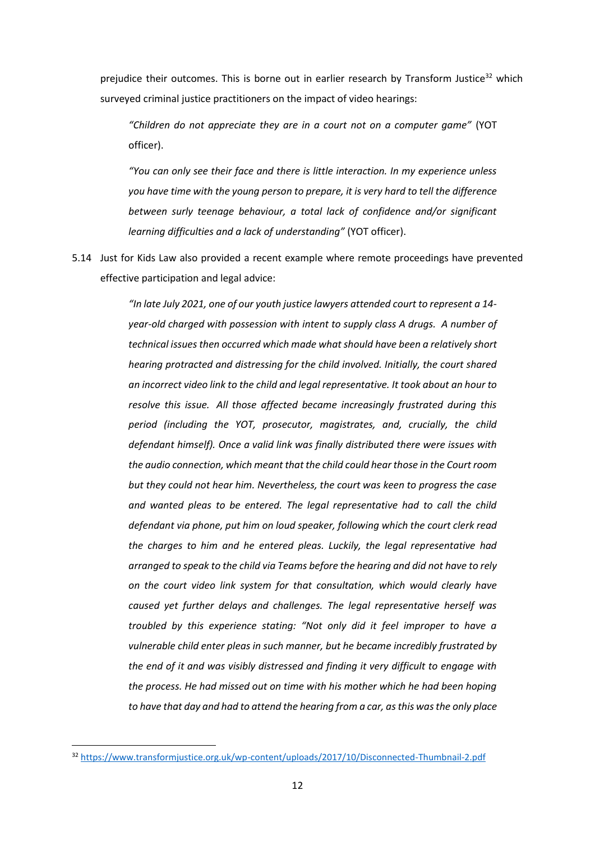prejudice their outcomes. This is borne out in earlier research by Transform Justice $32$  which surveyed criminal justice practitioners on the impact of video hearings:

*"Children do not appreciate they are in a court not on a computer game"* (YOT officer).

*"You can only see their face and there is little interaction. In my experience unless you have time with the young person to prepare, it is very hard to tell the difference between surly teenage behaviour, a total lack of confidence and/or significant learning difficulties and a lack of understanding"* (YOT officer).

5.14 Just for Kids Law also provided a recent example where remote proceedings have prevented effective participation and legal advice:

> *"In late July 2021, one of our youth justice lawyers attended court to represent a 14 year-old charged with possession with intent to supply class A drugs. A number of technical issues then occurred which made what should have been a relatively short hearing protracted and distressing for the child involved. Initially, the court shared an incorrect video link to the child and legal representative. It took about an hour to resolve this issue. All those affected became increasingly frustrated during this period (including the YOT, prosecutor, magistrates, and, crucially, the child defendant himself). Once a valid link was finally distributed there were issues with the audio connection, which meant that the child could hear those in the Court room but they could not hear him. Nevertheless, the court was keen to progress the case and wanted pleas to be entered. The legal representative had to call the child defendant via phone, put him on loud speaker, following which the court clerk read the charges to him and he entered pleas. Luckily, the legal representative had arranged to speak to the child via Teams before the hearing and did not have to rely on the court video link system for that consultation, which would clearly have caused yet further delays and challenges. The legal representative herself was troubled by this experience stating: "Not only did it feel improper to have a vulnerable child enter pleas in such manner, but he became incredibly frustrated by the end of it and was visibly distressed and finding it very difficult to engage with the process. He had missed out on time with his mother which he had been hoping to have that day and had to attend the hearing from a car, as this was the only place*

<sup>32</sup> <https://www.transformjustice.org.uk/wp-content/uploads/2017/10/Disconnected-Thumbnail-2.pdf>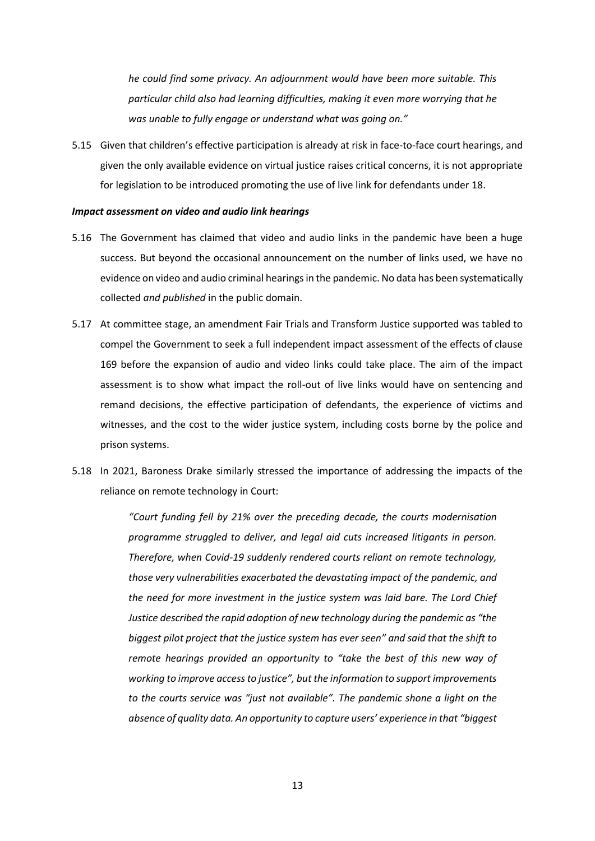*he could find some privacy. An adjournment would have been more suitable. This particular child also had learning difficulties, making it even more worrying that he was unable to fully engage or understand what was going on."*

5.15 Given that children's effective participation is already at risk in face-to-face court hearings, and given the only available evidence on virtual justice raises critical concerns, it is not appropriate for legislation to be introduced promoting the use of live link for defendants under 18.

#### *Impact assessment on video and audio link hearings*

- 5.16 The Government has claimed that video and audio links in the pandemic have been a huge success. But beyond the occasional announcement on the number of links used, we have no evidence on video and audio criminal hearings in the pandemic. No data has been systematically collected *and published* in the public domain.
- 5.17 At committee stage, an amendment Fair Trials and Transform Justice supported was tabled to compel the Government to seek a full independent impact assessment of the effects of clause 169 before the expansion of audio and video links could take place. The aim of the impact assessment is to show what impact the roll-out of live links would have on sentencing and remand decisions, the effective participation of defendants, the experience of victims and witnesses, and the cost to the wider justice system, including costs borne by the police and prison systems.
- 5.18 In 2021, Baroness Drake similarly stressed the importance of addressing the impacts of the reliance on remote technology in Court:

*"Court funding fell by 21% over the preceding decade, the courts modernisation programme struggled to deliver, and legal aid cuts increased litigants in person. Therefore, when Covid-19 suddenly rendered courts reliant on remote technology, those very vulnerabilities exacerbated the devastating impact of the pandemic, and the need for more investment in the justice system was laid bare. The Lord Chief Justice described the rapid adoption of new technology during the pandemic as "the biggest pilot project that the justice system has ever seen" and said that the shift to remote hearings provided an opportunity to "take the best of this new way of working to improve access to justice", but the information to support improvements to the courts service was "just not available". The pandemic shone a light on the absence of quality data. An opportunity to capture users' experience in that "biggest*